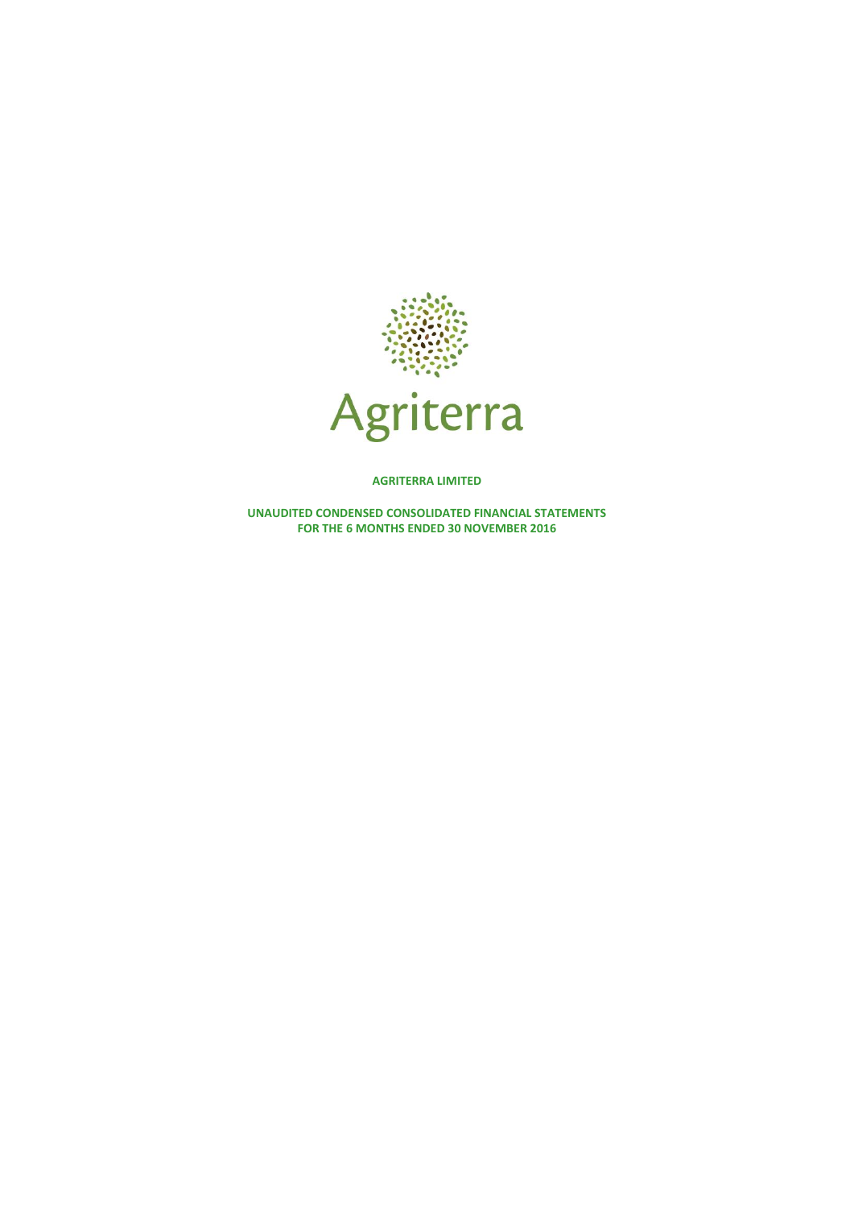

**AGRITERRA LIMITED**

**UNAUDITED CONDENSED CONSOLIDATED FINANCIAL STATEMENTS FOR THE 6 MONTHS ENDED 30 NOVEMBER 2016**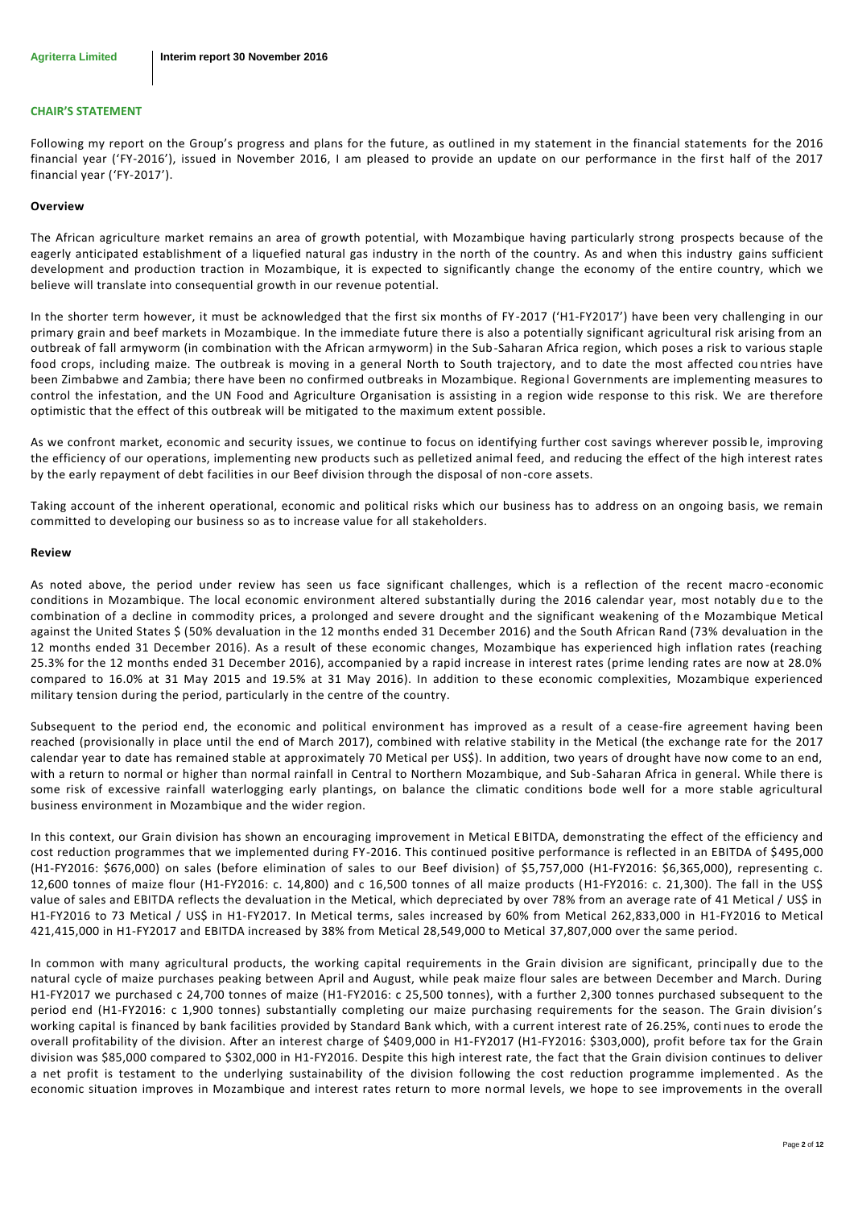### **CHAIR'S STATEMENT**

Following my report on the Group's progress and plans for the future, as outlined in my statement in the financial statements for the 2016 financial year ('FY-2016'), issued in November 2016, I am pleased to provide an update on our performance in the first half of the 2017 financial year ('FY-2017').

#### **Overview**

The African agriculture market remains an area of growth potential, with Mozambique having particularly strong prospects because of the eagerly anticipated establishment of a liquefied natural gas industry in the north of the country. As and when this industry gains sufficient development and production traction in Mozambique, it is expected to significantly change the economy of the entire country, which we believe will translate into consequential growth in our revenue potential.

In the shorter term however, it must be acknowledged that the first six months of FY-2017 ('H1-FY2017') have been very challenging in our primary grain and beef markets in Mozambique. In the immediate future there is also a potentially significant agricultural risk arising from an outbreak of fall armyworm (in combination with the African armyworm) in the Sub-Saharan Africa region, which poses a risk to various staple food crops, including maize. The outbreak is moving in a general North to South trajectory, and to date the most affected cou ntries have been Zimbabwe and Zambia; there have been no confirmed outbreaks in Mozambique. Regional Governments are implementing measures to control the infestation, and the UN Food and Agriculture Organisation is assisting in a region wide response to this risk. We are therefore optimistic that the effect of this outbreak will be mitigated to the maximum extent possible.

As we confront market, economic and security issues, we continue to focus on identifying further cost savings wherever possib le, improving the efficiency of our operations, implementing new products such as pelletized animal feed, and reducing the effect of the high interest rates by the early repayment of debt facilities in our Beef division through the disposal of non-core assets.

Taking account of the inherent operational, economic and political risks which our business has to address on an ongoing basis, we remain committed to developing our business so as to increase value for all stakeholders.

#### **Review**

As noted above, the period under review has seen us face significant challenges, which is a reflection of the recent macro -economic conditions in Mozambique. The local economic environment altered substantially during the 2016 calendar year, most notably due to the combination of a decline in commodity prices, a prolonged and severe drought and the significant weakening of the Mozambique Metical against the United States \$ (50% devaluation in the 12 months ended 31 December 2016) and the South African Rand (73% devaluation in the 12 months ended 31 December 2016). As a result of these economic changes, Mozambique has experienced high inflation rates (reaching 25.3% for the 12 months ended 31 December 2016), accompanied by a rapid increase in interest rates (prime lending rates are now at 28.0% compared to 16.0% at 31 May 2015 and 19.5% at 31 May 2016). In addition to these economic complexities, Mozambique experienced military tension during the period, particularly in the centre of the country.

Subsequent to the period end, the economic and political environment has improved as a result of a cease-fire agreement having been reached (provisionally in place until the end of March 2017), combined with relative stability in the Metical (the exchange rate for the 2017 calendar year to date has remained stable at approximately 70 Metical per US\$). In addition, two years of drought have now come to an end, with a return to normal or higher than normal rainfall in Central to Northern Mozambique, and Sub-Saharan Africa in general. While there is some risk of excessive rainfall waterlogging early plantings, on balance the climatic conditions bode well for a more stable agricultural business environment in Mozambique and the wider region.

In this context, our Grain division has shown an encouraging improvement in Metical EBITDA, demonstrating the effect of the efficiency and cost reduction programmes that we implemented during FY-2016. This continued positive performance is reflected in an EBITDA of \$495,000 (H1-FY2016: \$676,000) on sales (before elimination of sales to our Beef division) of \$5,757,000 (H1-FY2016: \$6,365,000), representing c. 12,600 tonnes of maize flour (H1-FY2016: c. 14,800) and c 16,500 tonnes of all maize products (H1-FY2016: c. 21,300). The fall in the US\$ value of sales and EBITDA reflects the devaluation in the Metical, which depreciated by over 78% from an average rate of 41 Metical / US\$ in H1-FY2016 to 73 Metical / US\$ in H1-FY2017. In Metical terms, sales increased by 60% from Metical 262,833,000 in H1-FY2016 to Metical 421,415,000 in H1-FY2017 and EBITDA increased by 38% from Metical 28,549,000 to Metical 37,807,000 over the same period.

In common with many agricultural products, the working capital requirements in the Grain division are significant, principally due to the natural cycle of maize purchases peaking between April and August, while peak maize flour sales are between December and March. During H1-FY2017 we purchased c 24,700 tonnes of maize (H1-FY2016: c 25,500 tonnes), with a further 2,300 tonnes purchased subsequent to the period end (H1-FY2016: c 1,900 tonnes) substantially completing our maize purchasing requirements for the season. The Grain division's working capital is financed by bank facilities provided by Standard Bank which, with a current interest rate of 26.25%, conti nues to erode the overall profitability of the division. After an interest charge of \$409,000 in H1-FY2017 (H1-FY2016: \$303,000), profit before tax for the Grain division was \$85,000 compared to \$302,000 in H1-FY2016. Despite this high interest rate, the fact that the Grain division continues to deliver a net profit is testament to the underlying sustainability of the division following the cost reduction programme implemented . As the economic situation improves in Mozambique and interest rates return to more normal levels, we hope to see improvements in the overall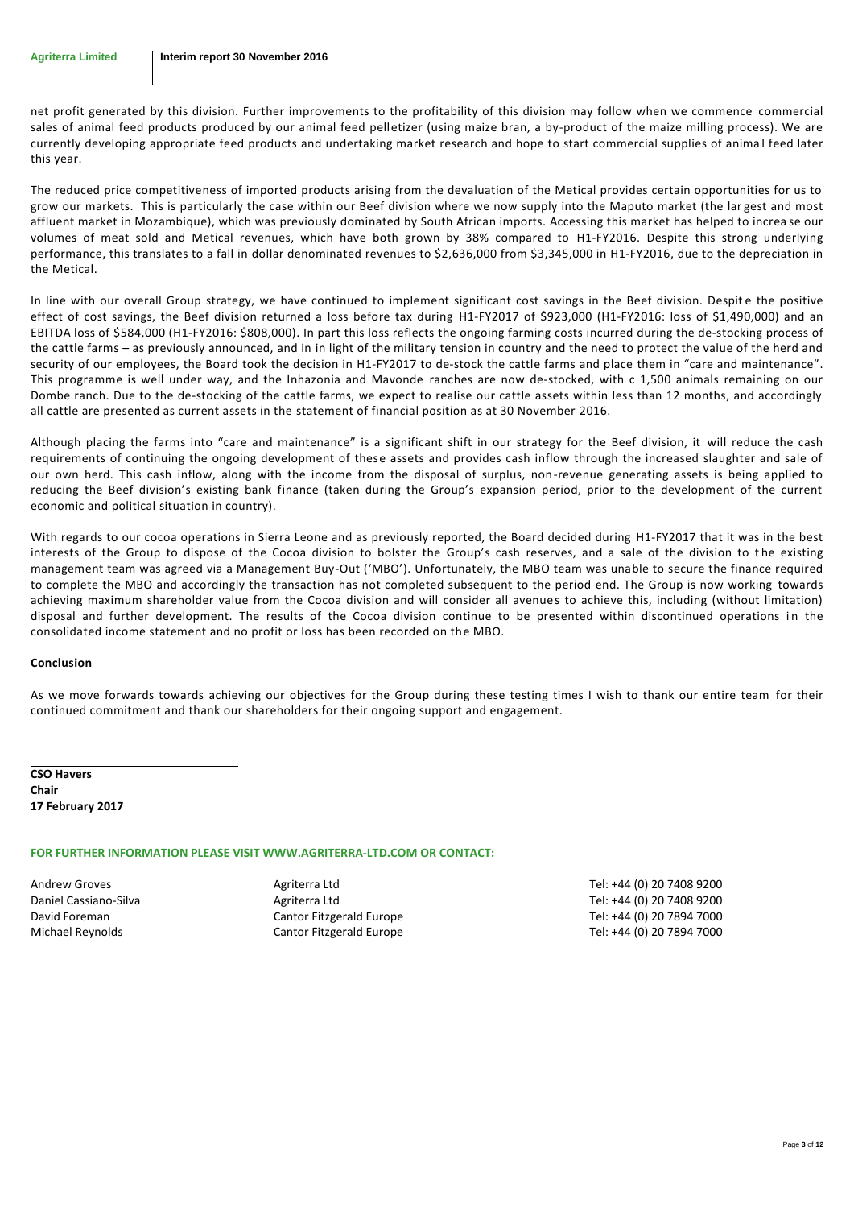net profit generated by this division. Further improvements to the profitability of this division may follow when we commence commercial sales of animal feed products produced by our animal feed pelletizer (using maize bran, a by-product of the maize milling process). We are currently developing appropriate feed products and undertaking market research and hope to start commercial supplies of anima l feed later this year.

The reduced price competitiveness of imported products arising from the devaluation of the Metical provides certain opportunities for us to grow our markets. This is particularly the case within our Beef division where we now supply into the Maputo market (the lar gest and most affluent market in Mozambique), which was previously dominated by South African imports. Accessing this market has helped to increa se our volumes of meat sold and Metical revenues, which have both grown by 38% compared to H1-FY2016. Despite this strong underlying performance, this translates to a fall in dollar denominated revenues to \$2,636,000 from \$3,345,000 in H1-FY2016, due to the depreciation in the Metical.

In line with our overall Group strategy, we have continued to implement significant cost savings in the Beef division. Despit e the positive effect of cost savings, the Beef division returned a loss before tax during H1-FY2017 of \$923,000 (H1-FY2016: loss of \$1,490,000) and an EBITDA loss of \$584,000 (H1-FY2016: \$808,000). In part this loss reflects the ongoing farming costs incurred during the de-stocking process of the cattle farms – as previously announced, and in in light of the military tension in country and the need to protect the value of the herd and security of our employees, the Board took the decision in H1-FY2017 to de-stock the cattle farms and place them in "care and maintenance". This programme is well under way, and the Inhazonia and Mavonde ranches are now de-stocked, with c 1,500 animals remaining on our Dombe ranch. Due to the de-stocking of the cattle farms, we expect to realise our cattle assets within less than 12 months, and accordingly all cattle are presented as current assets in the statement of financial position as at 30 November 2016.

Although placing the farms into "care and maintenance" is a significant shift in our strategy for the Beef division, it will reduce the cash requirements of continuing the ongoing development of these assets and provides cash inflow through the increased slaughter and sale of our own herd. This cash inflow, along with the income from the disposal of surplus, non-revenue generating assets is being applied to reducing the Beef division's existing bank finance (taken during the Group's expansion period, prior to the development of the current economic and political situation in country).

With regards to our cocoa operations in Sierra Leone and as previously reported, the Board decided during H1-FY2017 that it was in the best interests of the Group to dispose of the Cocoa division to bolster the Group's cash reserves, and a sale of the division to the existing management team was agreed via a Management Buy-Out ('MBO'). Unfortunately, the MBO team was unable to secure the finance required to complete the MBO and accordingly the transaction has not completed subsequent to the period end. The Group is now working towards achieving maximum shareholder value from the Cocoa division and will consider all avenues to achieve this, including (without limitation) disposal and further development. The results of the Cocoa division continue to be presented within discontinued operations in the consolidated income statement and no profit or loss has been recorded on the MBO.

## **Conclusion**

As we move forwards towards achieving our objectives for the Group during these testing times I wish to thank our entire team for their continued commitment and thank our shareholders for their ongoing support and engagement.

**CSO Havers Chair 17 February 2017**

## **FOR FURTHER INFORMATION PLEASE VISIT WWW.AGRITERRA-LTD.COM OR CONTACT:**

Andrew Groves **Agriterra Ltd** Agriterra Ltd Tel: +44 (0) 20 7408 9200 Daniel Cassiano-Silva **Agriterra Ltd** Agriterra Ltd Tel: +44 (0) 20 7408 9200 David Foreman **Cantor Fitzgerald Europe** Tel: +44 (0) 20 7894 7000 Michael Reynolds **Cantor Fitzgerald Europe** Tel: +44 (0) 20 7894 7000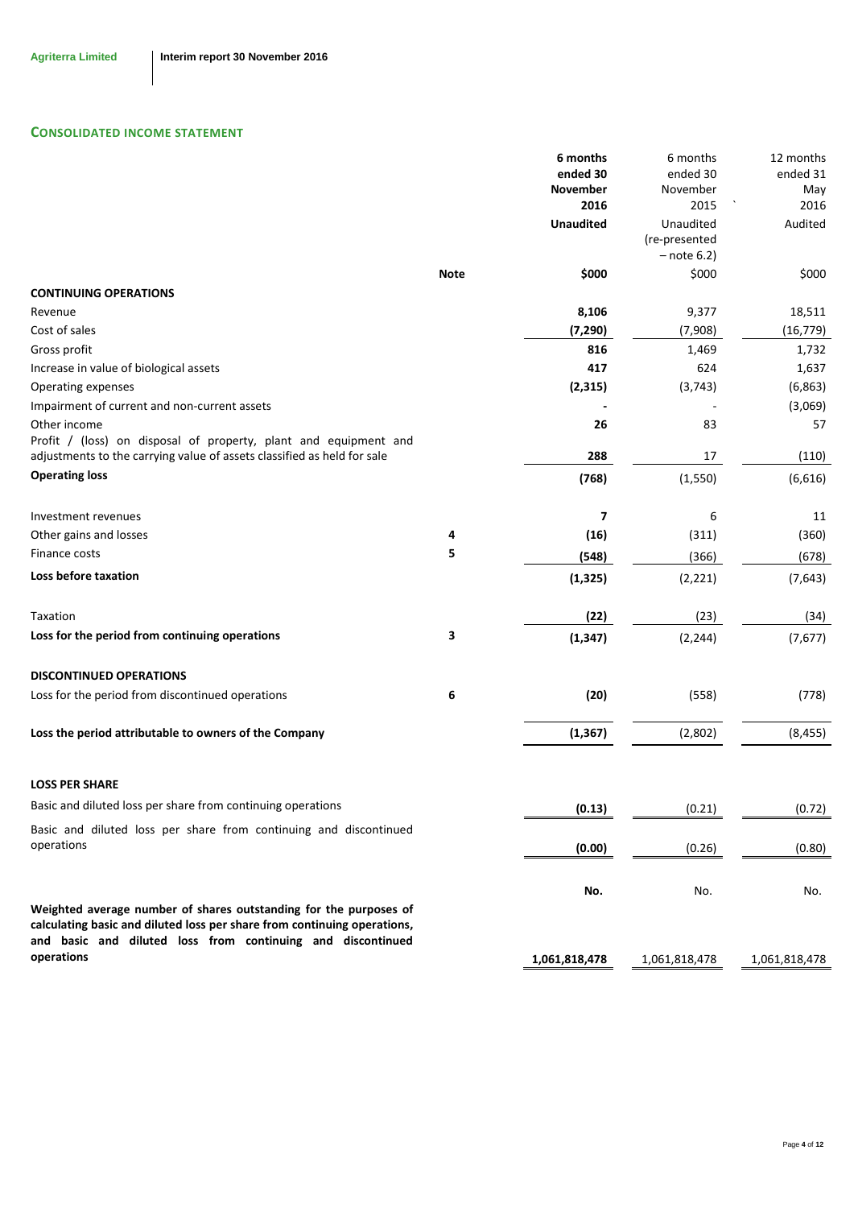# **CONSOLIDATED INCOME STATEMENT**

|                                                                                                                                                                                                              |             | 6 months<br>ended 30<br>November | 6 months<br>ended 30<br>November            | 12 months<br>ended 31<br>May |
|--------------------------------------------------------------------------------------------------------------------------------------------------------------------------------------------------------------|-------------|----------------------------------|---------------------------------------------|------------------------------|
|                                                                                                                                                                                                              |             | 2016                             | 2015                                        | 2016                         |
|                                                                                                                                                                                                              |             | <b>Unaudited</b>                 | Unaudited<br>(re-presented<br>$-$ note 6.2) | Audited                      |
|                                                                                                                                                                                                              | <b>Note</b> | \$000                            | \$000                                       | \$000                        |
| <b>CONTINUING OPERATIONS</b>                                                                                                                                                                                 |             |                                  |                                             |                              |
| Revenue                                                                                                                                                                                                      |             | 8,106                            | 9,377                                       | 18,511                       |
| Cost of sales                                                                                                                                                                                                |             | (7, 290)                         | (7,908)                                     | (16, 779)                    |
| Gross profit                                                                                                                                                                                                 |             | 816                              | 1,469                                       | 1,732                        |
| Increase in value of biological assets                                                                                                                                                                       |             | 417                              | 624                                         | 1,637                        |
| Operating expenses                                                                                                                                                                                           |             | (2, 315)                         | (3, 743)                                    | (6,863)                      |
| Impairment of current and non-current assets                                                                                                                                                                 |             |                                  |                                             | (3,069)                      |
| Other income                                                                                                                                                                                                 |             | 26                               | 83                                          | 57                           |
| Profit / (loss) on disposal of property, plant and equipment and<br>adjustments to the carrying value of assets classified as held for sale                                                                  |             | 288                              | 17                                          | (110)                        |
| <b>Operating loss</b>                                                                                                                                                                                        |             | (768)                            | (1, 550)                                    | (6,616)                      |
| Investment revenues                                                                                                                                                                                          |             | 7                                | 6                                           | 11                           |
| Other gains and losses                                                                                                                                                                                       | 4           | (16)                             | (311)                                       | (360)                        |
| Finance costs                                                                                                                                                                                                | 5           | (548)                            | (366)                                       | (678)                        |
| <b>Loss before taxation</b>                                                                                                                                                                                  |             | (1, 325)                         | (2, 221)                                    | (7, 643)                     |
| Taxation                                                                                                                                                                                                     |             | (22)                             | (23)                                        | (34)                         |
| Loss for the period from continuing operations                                                                                                                                                               | 3           | (1, 347)                         | (2, 244)                                    | (7,677)                      |
| <b>DISCONTINUED OPERATIONS</b>                                                                                                                                                                               |             |                                  |                                             |                              |
| Loss for the period from discontinued operations                                                                                                                                                             | 6           | (20)                             | (558)                                       | (778)                        |
| Loss the period attributable to owners of the Company                                                                                                                                                        |             | (1, 367)                         | (2,802)                                     | (8, 455)                     |
| <b>LOSS PER SHARE</b>                                                                                                                                                                                        |             |                                  |                                             |                              |
| Basic and diluted loss per share from continuing operations                                                                                                                                                  |             | (0.13)                           | (0.21)                                      | (0.72)                       |
| Basic and diluted loss per share from continuing and discontinued<br>operations                                                                                                                              |             |                                  |                                             |                              |
|                                                                                                                                                                                                              |             | (0.00)                           | (0.26)                                      | (0.80)                       |
|                                                                                                                                                                                                              |             | No.                              | No.                                         | No.                          |
| Weighted average number of shares outstanding for the purposes of<br>calculating basic and diluted loss per share from continuing operations,<br>and basic and diluted loss from continuing and discontinued |             |                                  |                                             |                              |
| operations                                                                                                                                                                                                   |             | 1,061,818,478                    | 1,061,818,478                               | 1,061,818,478                |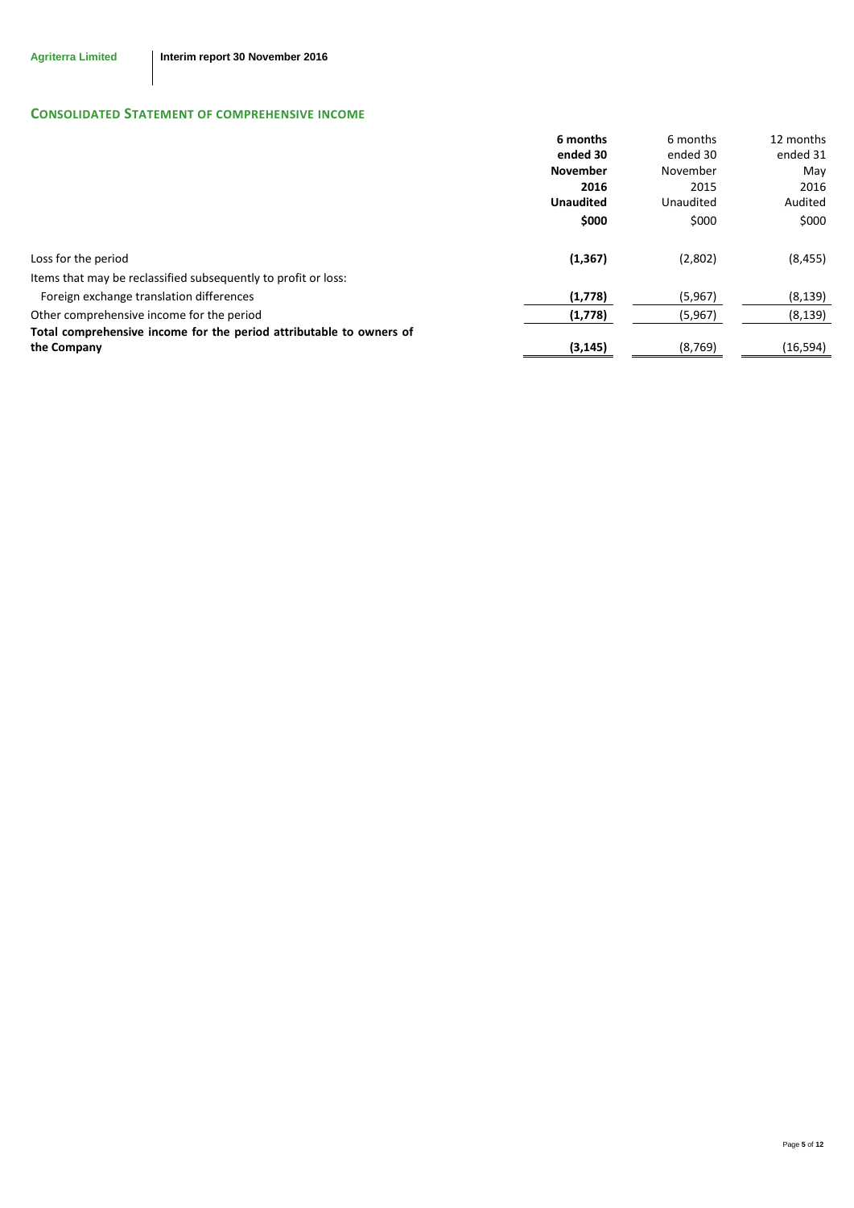# **CONSOLIDATED STATEMENT OF COMPREHENSIVE INCOME**

|                                                                     | 6 months         | 6 months  | 12 months |
|---------------------------------------------------------------------|------------------|-----------|-----------|
|                                                                     | ended 30         | ended 30  | ended 31  |
|                                                                     | <b>November</b>  | November  | May       |
|                                                                     | 2016             | 2015      | 2016      |
|                                                                     | <b>Unaudited</b> | Unaudited | Audited   |
|                                                                     | \$000            | \$000     | \$000     |
| Loss for the period                                                 | (1, 367)         | (2,802)   | (8, 455)  |
| Items that may be reclassified subsequently to profit or loss:      |                  |           |           |
| Foreign exchange translation differences                            | (1,778)          | (5,967)   | (8, 139)  |
| Other comprehensive income for the period                           | (1,778)          | (5,967)   | (8, 139)  |
| Total comprehensive income for the period attributable to owners of |                  |           |           |
| the Company                                                         | (3, 145)         | (8, 769)  | (16, 594) |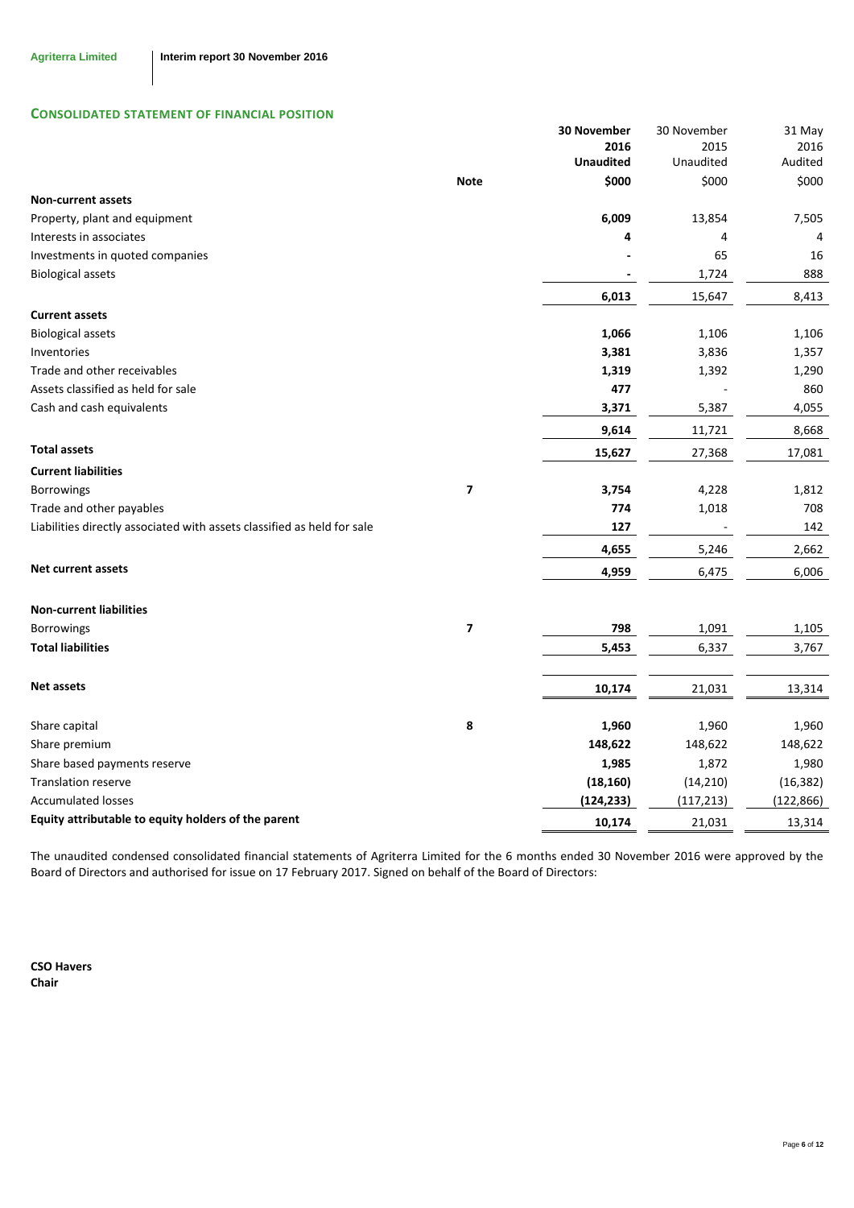## **CONSOLIDATED STATEMENT OF FINANCIAL POSITION**

|                                                                         |                         | <b>30 November</b> | 30 November | 31 May     |
|-------------------------------------------------------------------------|-------------------------|--------------------|-------------|------------|
|                                                                         |                         | 2016               | 2015        | 2016       |
|                                                                         |                         | <b>Unaudited</b>   | Unaudited   | Audited    |
|                                                                         | <b>Note</b>             | \$000              | \$000       | \$000      |
| <b>Non-current assets</b>                                               |                         |                    |             |            |
| Property, plant and equipment                                           |                         | 6,009              | 13,854      | 7,505      |
| Interests in associates                                                 |                         | 4                  | 4           | 4          |
| Investments in quoted companies                                         |                         |                    | 65          | 16         |
| <b>Biological assets</b>                                                |                         |                    | 1,724       | 888        |
|                                                                         |                         | 6,013              | 15,647      | 8,413      |
| <b>Current assets</b>                                                   |                         |                    |             |            |
| <b>Biological assets</b>                                                |                         | 1,066              | 1,106       | 1,106      |
| Inventories                                                             |                         | 3,381              | 3,836       | 1,357      |
| Trade and other receivables                                             |                         | 1,319              | 1,392       | 1,290      |
| Assets classified as held for sale                                      |                         | 477                |             | 860        |
| Cash and cash equivalents                                               |                         | 3,371              | 5,387       | 4,055      |
|                                                                         |                         | 9,614              | 11,721      | 8,668      |
| <b>Total assets</b>                                                     |                         | 15,627             | 27,368      | 17,081     |
| <b>Current liabilities</b>                                              |                         |                    |             |            |
| Borrowings                                                              | 7                       | 3,754              | 4,228       | 1,812      |
| Trade and other payables                                                |                         | 774                | 1,018       | 708        |
| Liabilities directly associated with assets classified as held for sale |                         | 127                |             | 142        |
|                                                                         |                         | 4,655              | 5,246       | 2,662      |
| <b>Net current assets</b>                                               |                         | 4,959              | 6,475       | 6,006      |
|                                                                         |                         |                    |             |            |
| <b>Non-current liabilities</b><br>Borrowings                            | $\overline{\mathbf{z}}$ | 798                | 1,091       | 1,105      |
| <b>Total liabilities</b>                                                |                         | 5,453              | 6,337       | 3,767      |
|                                                                         |                         |                    |             |            |
| <b>Net assets</b>                                                       |                         | 10,174             | 21,031      | 13,314     |
| Share capital                                                           | 8                       | 1,960              | 1,960       | 1,960      |
| Share premium                                                           |                         | 148,622            | 148,622     | 148,622    |
| Share based payments reserve                                            |                         | 1,985              | 1,872       | 1,980      |
| <b>Translation reserve</b>                                              |                         | (18, 160)          | (14, 210)   | (16, 382)  |
| <b>Accumulated losses</b>                                               |                         | (124, 233)         | (117, 213)  | (122, 866) |
| Equity attributable to equity holders of the parent                     |                         | 10,174             | 21,031      | 13,314     |

The unaudited condensed consolidated financial statements of Agriterra Limited for the 6 months ended 30 November 2016 were approved by the Board of Directors and authorised for issue on 17 February 2017. Signed on behalf of the Board of Directors:

**CSO Havers Chair**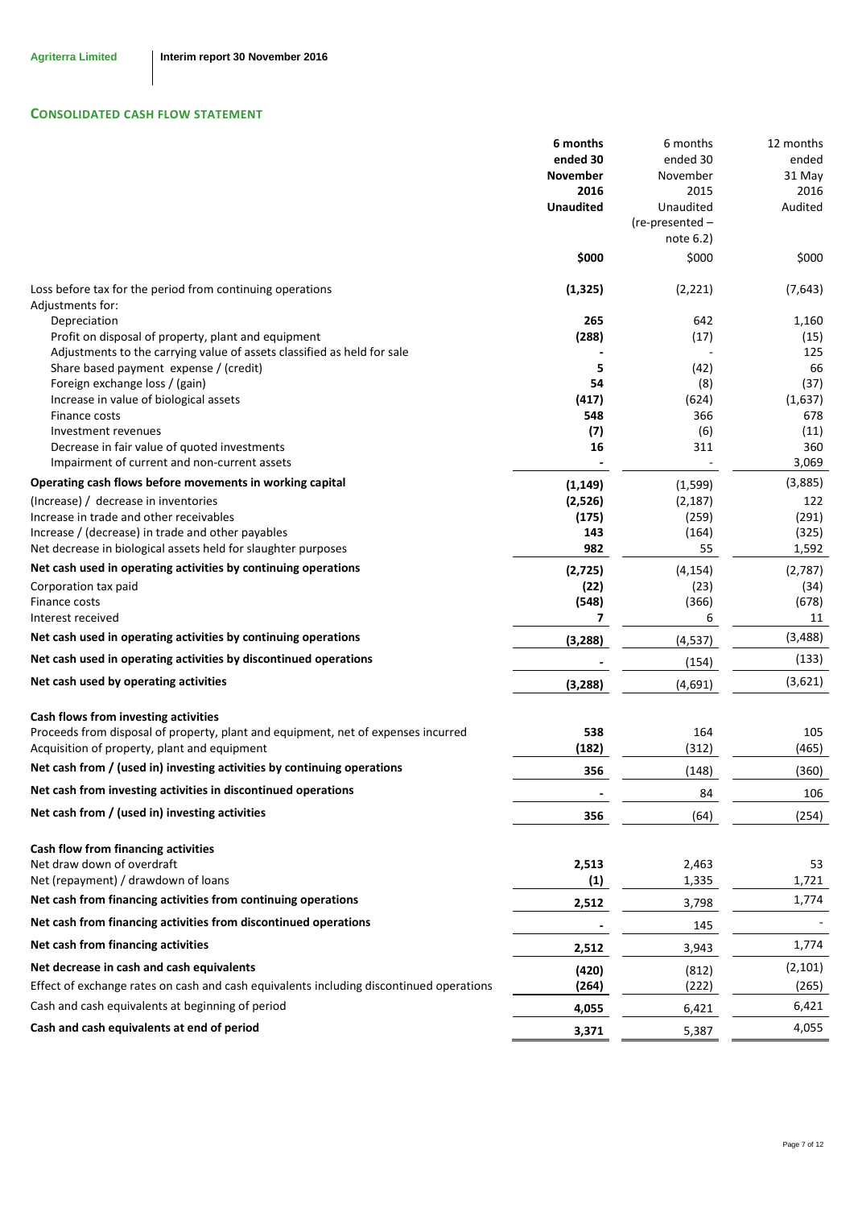# **CONSOLIDATED CASH FLOW STATEMENT**

|                                                                                         | 6 months         | 6 months          | 12 months   |
|-----------------------------------------------------------------------------------------|------------------|-------------------|-------------|
|                                                                                         | ended 30         | ended 30          | ended       |
|                                                                                         | <b>November</b>  | November          | 31 May      |
|                                                                                         | 2016             | 2015              | 2016        |
|                                                                                         | <b>Unaudited</b> | Unaudited         | Audited     |
|                                                                                         |                  | $(re-presented -$ |             |
|                                                                                         |                  | note $6.2$ )      |             |
|                                                                                         | \$000            | \$000             | \$000       |
| Loss before tax for the period from continuing operations<br>Adjustments for:           | (1, 325)         | (2, 221)          | (7,643)     |
| Depreciation                                                                            | 265              | 642               | 1,160       |
| Profit on disposal of property, plant and equipment                                     | (288)            | (17)              | (15)        |
| Adjustments to the carrying value of assets classified as held for sale                 |                  |                   | 125         |
| Share based payment expense / (credit)                                                  | 5                | (42)              | 66          |
| Foreign exchange loss / (gain)                                                          | 54               | (8)               | (37)        |
| Increase in value of biological assets                                                  | (417)            | (624)             | (1,637)     |
| Finance costs                                                                           | 548              | 366               | 678         |
| Investment revenues<br>Decrease in fair value of quoted investments                     | (7)<br>16        | (6)<br>311        | (11)<br>360 |
| Impairment of current and non-current assets                                            |                  |                   | 3,069       |
| Operating cash flows before movements in working capital                                | (1, 149)         | (1,599)           | (3,885)     |
| (Increase) / decrease in inventories                                                    | (2,526)          | (2, 187)          | 122         |
| Increase in trade and other receivables                                                 | (175)            | (259)             | (291)       |
| Increase / (decrease) in trade and other payables                                       | 143              | (164)             | (325)       |
| Net decrease in biological assets held for slaughter purposes                           | 982              | 55                | 1,592       |
| Net cash used in operating activities by continuing operations                          | (2, 725)         | (4, 154)          | (2,787)     |
| Corporation tax paid                                                                    | (22)             | (23)              | (34)        |
| Finance costs                                                                           | (548)            | (366)             | (678)       |
| Interest received                                                                       | 7                | 6                 | 11          |
| Net cash used in operating activities by continuing operations                          | (3, 288)         | (4, 537)          | (3, 488)    |
| Net cash used in operating activities by discontinued operations                        |                  | (154)             | (133)       |
| Net cash used by operating activities                                                   | (3, 288)         | (4,691)           | (3,621)     |
| Cash flows from investing activities                                                    |                  |                   |             |
| Proceeds from disposal of property, plant and equipment, net of expenses incurred       | 538              | 164               | 105         |
| Acquisition of property, plant and equipment                                            | (182)            | (312)             | (465)       |
| Net cash from / (used in) investing activities by continuing operations                 | 356              | (148)             | (360)       |
| Net cash from investing activities in discontinued operations                           |                  | 84                | 106         |
| Net cash from / (used in) investing activities                                          | 356              | (64)              | (254)       |
| Cash flow from financing activities                                                     |                  |                   |             |
| Net draw down of overdraft                                                              | 2,513            | 2,463             | 53          |
| Net (repayment) / drawdown of loans                                                     | (1)              | 1,335             | 1,721       |
| Net cash from financing activities from continuing operations                           | 2,512            | 3,798             | 1,774       |
| Net cash from financing activities from discontinued operations                         |                  | 145               |             |
| Net cash from financing activities                                                      | 2,512            | 3,943             | 1,774       |
| Net decrease in cash and cash equivalents                                               | (420)            | (812)             | (2, 101)    |
| Effect of exchange rates on cash and cash equivalents including discontinued operations | (264)            | (222)             | (265)       |
| Cash and cash equivalents at beginning of period                                        | 4,055            | 6,421             | 6,421       |
| Cash and cash equivalents at end of period                                              | 3,371            | 5,387             | 4,055       |
|                                                                                         |                  |                   |             |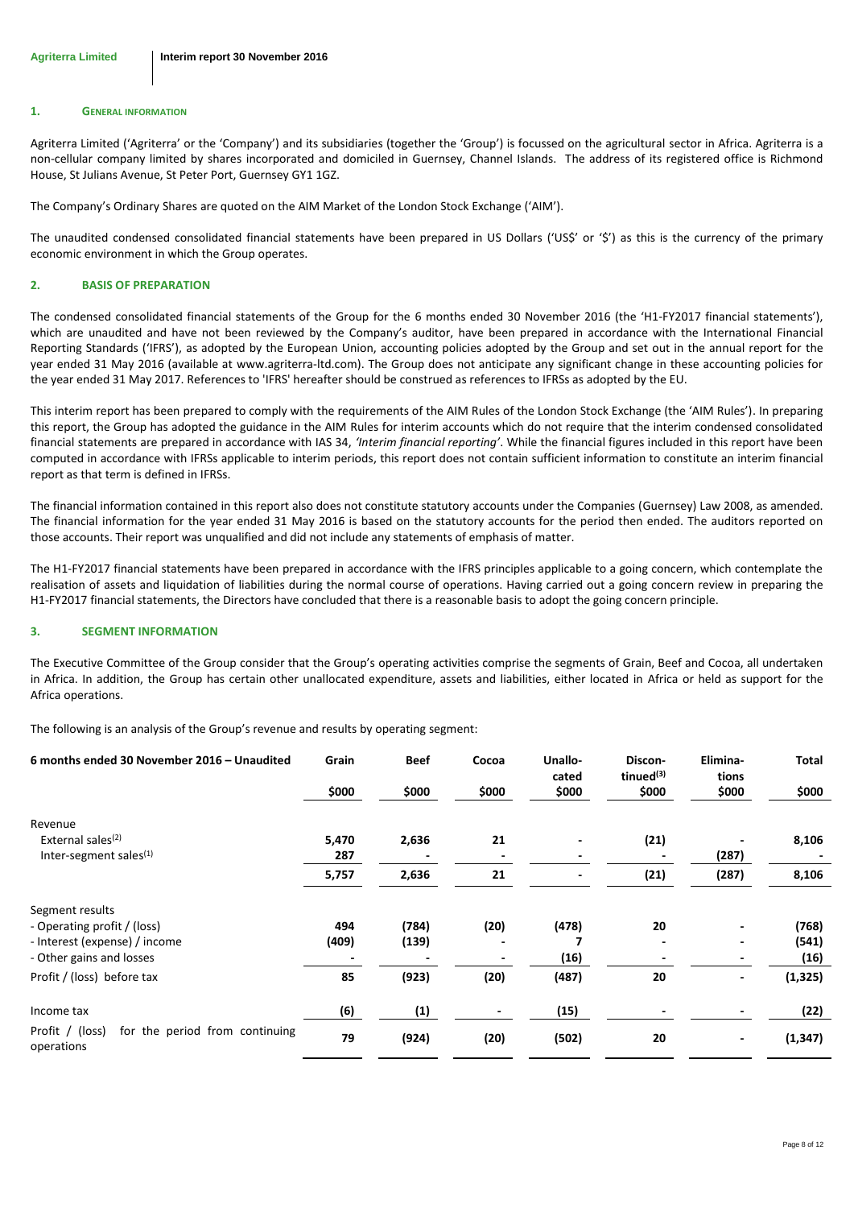#### **1. GENERAL INFORMATION**

Agriterra Limited ('Agriterra' or the 'Company') and its subsidiaries (together the 'Group') is focussed on the agricultural sector in Africa. Agriterra is a non-cellular company limited by shares incorporated and domiciled in Guernsey, Channel Islands. The address of its registered office is Richmond House, St Julians Avenue, St Peter Port, Guernsey GY1 1GZ.

The Company's Ordinary Shares are quoted on the AIM Market of the London Stock Exchange ('AIM').

The unaudited condensed consolidated financial statements have been prepared in US Dollars ('US\$' or '\$') as this is the currency of the primary economic environment in which the Group operates.

#### **2. BASIS OF PREPARATION**

The condensed consolidated financial statements of the Group for the 6 months ended 30 November 2016 (the 'H1-FY2017 financial statements'), which are unaudited and have not been reviewed by the Company's auditor, have been prepared in accordance with the International Financial Reporting Standards ('IFRS'), as adopted by the European Union, accounting policies adopted by the Group and set out in the annual report for the year ended 31 May 2016 (available at www.agriterra-ltd.com). The Group does not anticipate any significant change in these accounting policies for the year ended 31 May 2017. References to 'IFRS' hereafter should be construed as references to IFRSs as adopted by the EU.

This interim report has been prepared to comply with the requirements of the AIM Rules of the London Stock Exchange (the 'AIM Rules'). In preparing this report, the Group has adopted the guidance in the AIM Rules for interim accounts which do not require that the interim condensed consolidated financial statements are prepared in accordance with IAS 34, *'Interim financial reporting'*. While the financial figures included in this report have been computed in accordance with IFRSs applicable to interim periods, this report does not contain sufficient information to constitute an interim financial report as that term is defined in IFRSs.

The financial information contained in this report also does not constitute statutory accounts under the Companies (Guernsey) Law 2008, as amended. The financial information for the year ended 31 May 2016 is based on the statutory accounts for the period then ended. The auditors reported on those accounts. Their report was unqualified and did not include any statements of emphasis of matter.

The H1-FY2017 financial statements have been prepared in accordance with the IFRS principles applicable to a going concern, which contemplate the realisation of assets and liquidation of liabilities during the normal course of operations. Having carried out a going concern review in preparing the H1-FY2017 financial statements, the Directors have concluded that there is a reasonable basis to adopt the going concern principle.

#### <span id="page-7-0"></span>**3. SEGMENT INFORMATION**

The Executive Committee of the Group consider that the Group's operating activities comprise the segments of Grain, Beef and Cocoa, all undertaken in Africa. In addition, the Group has certain other unallocated expenditure, assets and liabilities, either located in Africa or held as support for the Africa operations.

The following is an analysis of the Group's revenue and results by operating segment:

| 6 months ended 30 November 2016 - Unaudited                     | Grain | <b>Beef</b> | Cocoa | Unallo-<br>cated | Discon-<br>tinued $(3)$ | Elimina-<br>tions | Total    |
|-----------------------------------------------------------------|-------|-------------|-------|------------------|-------------------------|-------------------|----------|
|                                                                 | \$000 | \$000       | \$000 | \$000            | \$000                   | \$000             | \$000    |
| Revenue                                                         |       |             |       |                  |                         |                   |          |
| External sales <sup>(2)</sup>                                   | 5,470 | 2,636       | 21    |                  | (21)                    |                   | 8,106    |
| Inter-segment sales $(1)$                                       | 287   |             |       |                  |                         | (287)             |          |
|                                                                 | 5,757 | 2,636       | 21    |                  | (21)                    | (287)             | 8,106    |
| Segment results                                                 |       |             |       |                  |                         |                   |          |
| - Operating profit / (loss)                                     | 494   | (784)       | (20)  | (478)            | 20                      |                   | (768)    |
| - Interest (expense) / income                                   | (409) | (139)       |       |                  |                         |                   | (541)    |
| - Other gains and losses                                        |       |             |       | (16)             |                         |                   | (16)     |
| Profit / (loss) before tax                                      | 85    | (923)       | (20)  | (487)            | 20                      |                   | (1, 325) |
| Income tax                                                      | (6)   | (1)         |       | (15)             |                         |                   | (22)     |
| for the period from continuing<br>Profit / (loss)<br>operations | 79    | (924)       | (20)  | (502)            | 20                      |                   | (1, 347) |
|                                                                 |       |             |       |                  |                         |                   |          |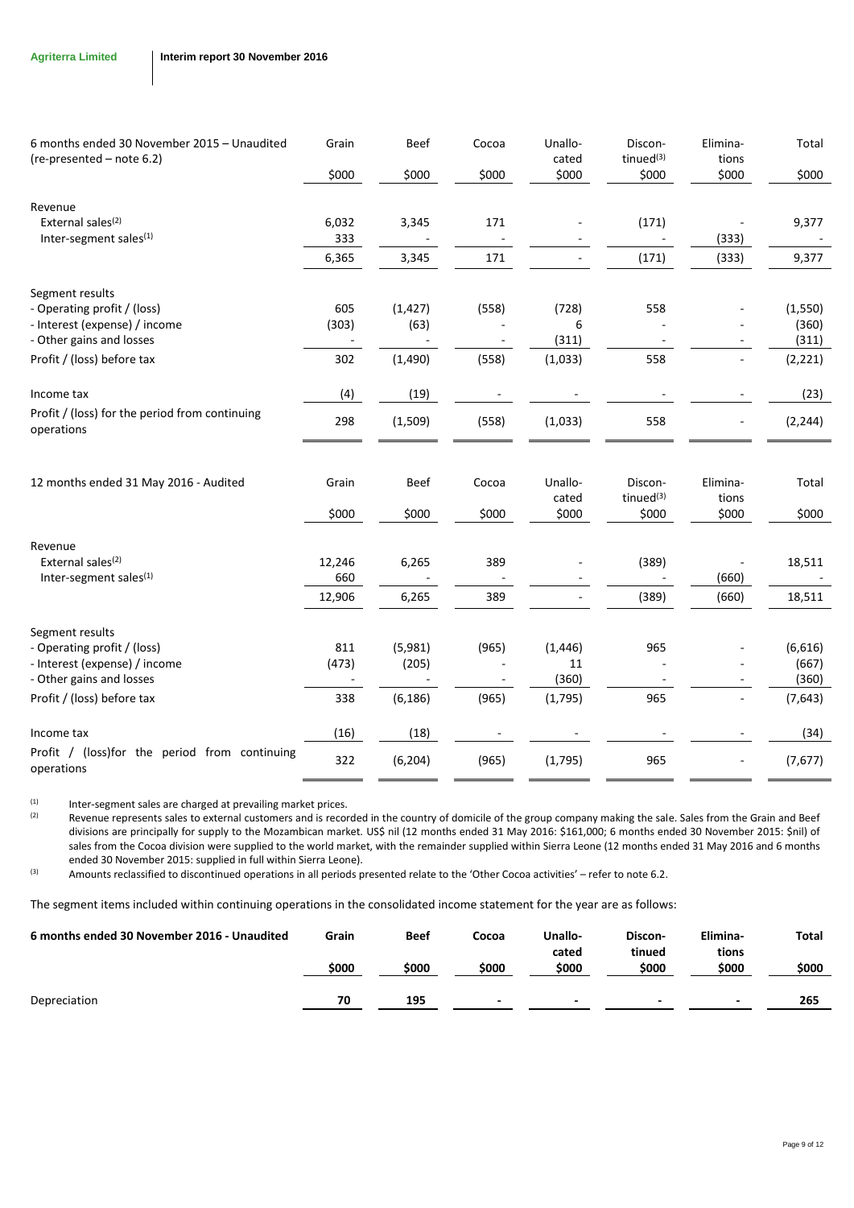| 6 months ended 30 November 2015 - Unaudited                  | Grain  | <b>Beef</b> | Cocoa | Unallo-<br>cated | Discon-<br>tinued <sup>(3)</sup> | Elimina-<br>tions | Total    |
|--------------------------------------------------------------|--------|-------------|-------|------------------|----------------------------------|-------------------|----------|
| (re-presented - note 6.2)                                    | \$000  | \$000       | \$000 | \$000            | \$000                            | \$000             | \$000    |
| Revenue                                                      |        |             |       |                  |                                  |                   |          |
| External sales <sup>(2)</sup>                                | 6,032  | 3,345       | 171   |                  | (171)                            |                   | 9,377    |
| Inter-segment sales <sup>(1)</sup>                           | 333    |             |       |                  |                                  | (333)             |          |
|                                                              | 6,365  | 3,345       | 171   |                  | (171)                            | (333)             | 9,377    |
| Segment results                                              |        |             |       |                  |                                  |                   |          |
| - Operating profit / (loss)                                  | 605    | (1, 427)    | (558) | (728)            | 558                              |                   | (1,550)  |
| - Interest (expense) / income                                | (303)  | (63)        |       | 6                |                                  |                   | (360)    |
| - Other gains and losses                                     |        |             |       | (311)            |                                  |                   | (311)    |
| Profit / (loss) before tax                                   | 302    | (1,490)     | (558) | (1,033)          | 558                              |                   | (2, 221) |
| Income tax                                                   | (4)    | (19)        |       |                  |                                  |                   | (23)     |
| Profit / (loss) for the period from continuing<br>operations | 298    | (1,509)     | (558) | (1,033)          | 558                              |                   | (2, 244) |
| 12 months ended 31 May 2016 - Audited                        | Grain  | Beef        | Cocoa | Unallo-          | Discon-                          | Elimina-          | Total    |
|                                                              |        |             |       | cated            | tinued <sup>(3)</sup>            | tions             |          |
|                                                              | \$000  | \$000       | \$000 | \$000            | \$000                            | \$000             | \$000    |
| Revenue                                                      |        |             |       |                  |                                  |                   |          |
| External sales <sup>(2)</sup>                                | 12,246 | 6,265       | 389   |                  | (389)                            |                   | 18,511   |
| Inter-segment sales <sup>(1)</sup>                           | 660    |             |       |                  |                                  | (660)             |          |
|                                                              | 12,906 | 6,265       | 389   |                  | (389)                            | (660)             | 18,511   |
| Segment results                                              |        |             |       |                  |                                  |                   |          |
| - Operating profit / (loss)                                  | 811    | (5,981)     | (965) | (1, 446)         | 965                              |                   | (6,616)  |
| - Interest (expense) / income                                | (473)  | (205)       |       | 11               |                                  |                   | (667)    |
| - Other gains and losses                                     |        |             |       | (360)            |                                  |                   | (360)    |
| Profit / (loss) before tax                                   | 338    | (6, 186)    | (965) | (1,795)          | 965                              |                   | (7,643)  |
| Income tax                                                   | (16)   | (18)        |       |                  |                                  |                   | (34)     |
| Profit / (loss)for the period from continuing<br>operations  | 322    | (6, 204)    | (965) | (1,795)          | 965                              |                   | (7,677)  |

(1) Inter-segment sales are charged at prevailing market prices.<br>(2) Revenue represents sales to external customers and is recor

Revenue represents sales to external customers and is recorded in the country of domicile of the group company making the sale. Sales from the Grain and Beef divisions are principally for supply to the Mozambican market. US\$ nil (12 months ended 31 May 2016: \$161,000; 6 months ended 30 November 2015: \$nil) of sales from the Cocoa division were supplied to the world market, with the remainder supplied within Sierra Leone (12 months ended 31 May 2016 and 6 months ended 30 November 2015: supplied in full within Sierra Leone).

(3) Amounts reclassified to discontinued operations in all periods presented relate to the 'Other Cocoa activities' – refer to not[e 6.2.](#page-10-0)

The segment items included within continuing operations in the consolidated income statement for the year are as follows:

| 6 months ended 30 November 2016 - Unaudited | Grain<br>\$000 | Beef<br>\$000 | Cocoa<br>\$000           | Unallo-<br>cated<br>\$000 | Discon-<br>tinued<br>\$000 | Elimina-<br>tions<br>\$000 | Total<br>\$000 |
|---------------------------------------------|----------------|---------------|--------------------------|---------------------------|----------------------------|----------------------------|----------------|
| Depreciation                                | 70             | 195           | $\overline{\phantom{0}}$ | $\overline{\phantom{a}}$  | $\overline{\phantom{0}}$   | $\overline{\phantom{a}}$   | 265            |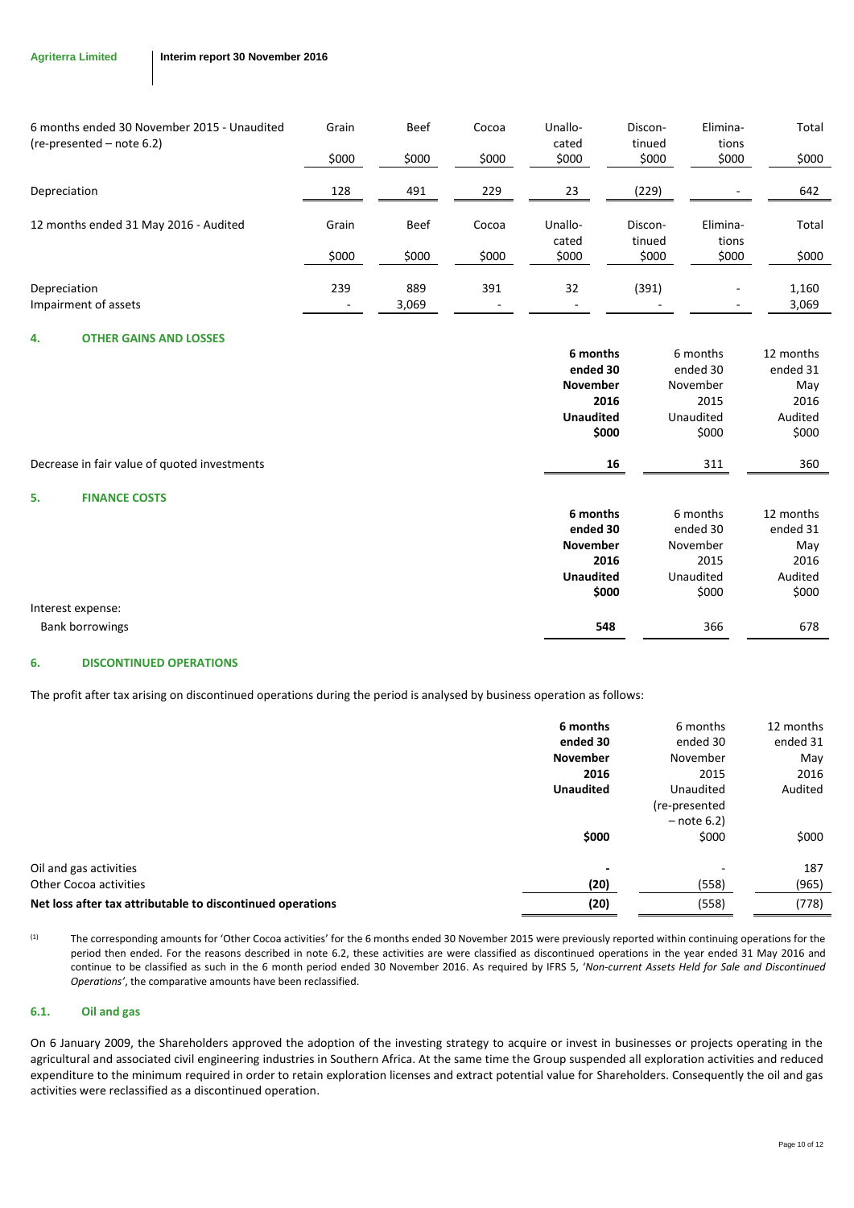| 6 months ended 30 November 2015 - Unaudited<br>$(re-presented - note 6.2)$ | Grain | <b>Beef</b> | Cocoa | Unallo-<br>cated | Discon-<br>tinued | Elimina-<br>tions | Total |
|----------------------------------------------------------------------------|-------|-------------|-------|------------------|-------------------|-------------------|-------|
|                                                                            | \$000 | \$000       | \$000 | \$000            | \$000             | \$000             | \$000 |
| Depreciation                                                               | 128   | 491         | 229   | 23               | (229)             |                   | 642   |
| 12 months ended 31 May 2016 - Audited                                      | Grain | <b>Beef</b> | Cocoa | Unallo-<br>cated | Discon-<br>tinued | Elimina-<br>tions | Total |
|                                                                            | \$000 | \$000       | \$000 | \$000            | \$000             | \$000             | \$000 |
| Depreciation                                                               | 239   | 889         | 391   | 32               | (391)             |                   | 1,160 |
| Impairment of assets                                                       |       | 3,069       |       |                  |                   |                   | 3,069 |

## <span id="page-9-0"></span>**4. OTHER GAINS AND LOSSES**

<span id="page-9-1"></span>

|                                              | 6 months         | 6 months  | 12 months |
|----------------------------------------------|------------------|-----------|-----------|
|                                              | ended 30         | ended 30  | ended 31  |
|                                              | November         | November  | May       |
|                                              | 2016             | 2015      | 2016      |
|                                              | <b>Unaudited</b> | Unaudited | Audited   |
|                                              | \$000            | \$000     | \$000     |
| Decrease in fair value of quoted investments | 16               | 311       | 360       |
| 5.<br><b>FINANCE COSTS</b>                   |                  |           |           |
|                                              | 6 months         | 6 months  | 12 months |
|                                              | ended 30         | ended 30  | ended 31  |
|                                              | November         | November  | May       |
|                                              | 2016             | 2015      | 2016      |
|                                              | <b>Unaudited</b> | Unaudited | Audited   |
|                                              | \$000            | \$000     | \$000     |
| Interest expense:                            |                  |           |           |
| <b>Bank borrowings</b>                       | 548              | 366       | 678       |

### <span id="page-9-2"></span>**6. DISCONTINUED OPERATIONS**

The profit after tax arising on discontinued operations during the period is analysed by business operation as follows:

|                                                            | 6 months         | 6 months      | 12 months |
|------------------------------------------------------------|------------------|---------------|-----------|
|                                                            | ended 30         | ended 30      | ended 31  |
|                                                            | <b>November</b>  | November      | May       |
|                                                            | 2016             | 2015          | 2016      |
|                                                            | <b>Unaudited</b> | Unaudited     | Audited   |
|                                                            |                  | (re-presented |           |
|                                                            |                  | $-$ note 6.2) |           |
|                                                            | \$000            | \$000         | \$000     |
| Oil and gas activities                                     |                  |               | 187       |
| Other Cocoa activities                                     | (20)             | (558)         | (965)     |
| Net loss after tax attributable to discontinued operations | (20)             | (558)         | (778)     |

(1) The corresponding amounts for 'Other Cocoa activities' for the 6 months ended 30 November 2015 were previously reported within continuing operations for the period then ended. For the reasons described in note [6.2,](#page-10-0) these activities are were classified as discontinued operations in the year ended 31 May 2016 and continue to be classified as such in the 6 month period ended 30 November 2016. As required by IFRS 5, '*Non-current Assets Held for Sale and Discontinued Operations'*, the comparative amounts have been reclassified.

## **6.1. Oil and gas**

On 6 January 2009, the Shareholders approved the adoption of the investing strategy to acquire or invest in businesses or projects operating in the agricultural and associated civil engineering industries in Southern Africa. At the same time the Group suspended all exploration activities and reduced expenditure to the minimum required in order to retain exploration licenses and extract potential value for Shareholders. Consequently the oil and gas activities were reclassified as a discontinued operation.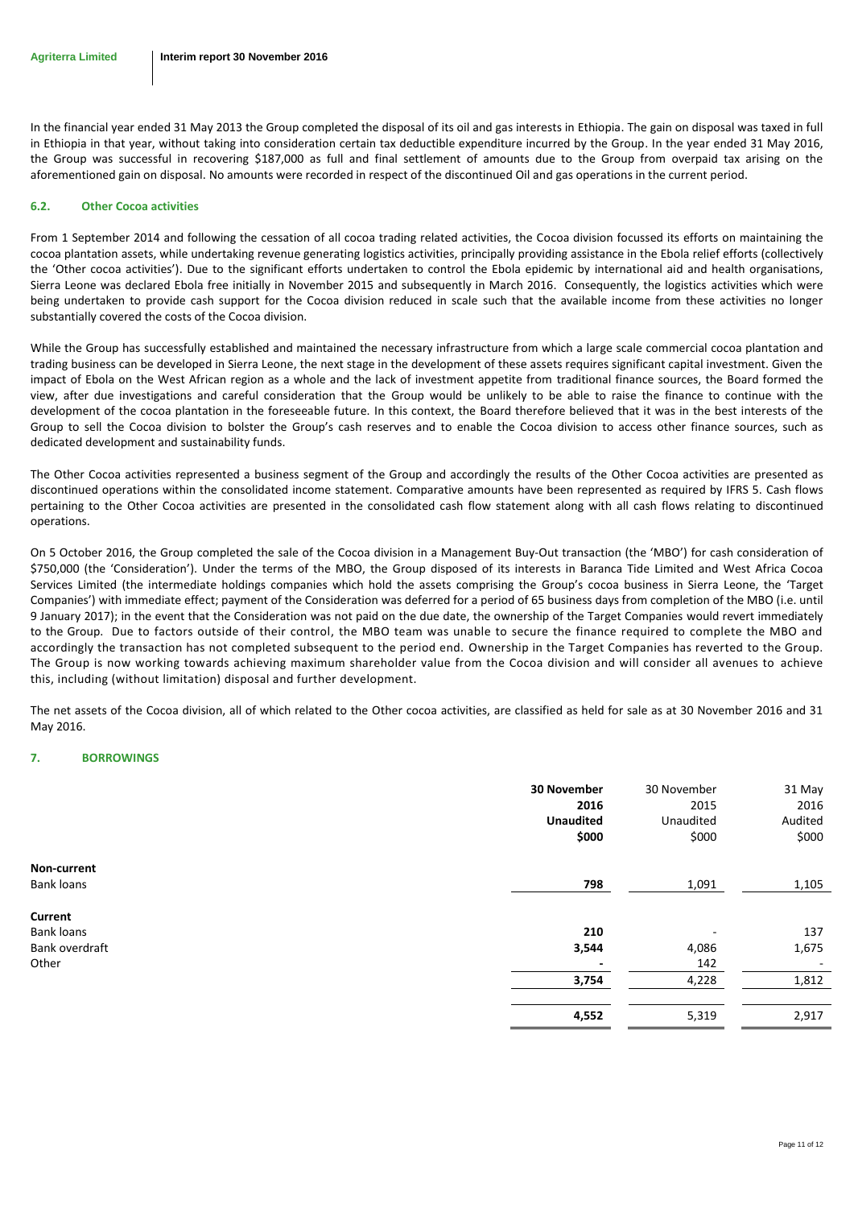In the financial year ended 31 May 2013 the Group completed the disposal of its oil and gas interests in Ethiopia. The gain on disposal was taxed in full in Ethiopia in that year, without taking into consideration certain tax deductible expenditure incurred by the Group. In the year ended 31 May 2016, the Group was successful in recovering \$187,000 as full and final settlement of amounts due to the Group from overpaid tax arising on the aforementioned gain on disposal. No amounts were recorded in respect of the discontinued Oil and gas operations in the current period.

## <span id="page-10-0"></span>**6.2. Other Cocoa activities**

From 1 September 2014 and following the cessation of all cocoa trading related activities, the Cocoa division focussed its efforts on maintaining the cocoa plantation assets, while undertaking revenue generating logistics activities, principally providing assistance in the Ebola relief efforts (collectively the 'Other cocoa activities'). Due to the significant efforts undertaken to control the Ebola epidemic by international aid and health organisations, Sierra Leone was declared Ebola free initially in November 2015 and subsequently in March 2016. Consequently, the logistics activities which were being undertaken to provide cash support for the Cocoa division reduced in scale such that the available income from these activities no longer substantially covered the costs of the Cocoa division.

While the Group has successfully established and maintained the necessary infrastructure from which a large scale commercial cocoa plantation and trading business can be developed in Sierra Leone, the next stage in the development of these assets requires significant capital investment. Given the impact of Ebola on the West African region as a whole and the lack of investment appetite from traditional finance sources, the Board formed the view, after due investigations and careful consideration that the Group would be unlikely to be able to raise the finance to continue with the development of the cocoa plantation in the foreseeable future. In this context, the Board therefore believed that it was in the best interests of the Group to sell the Cocoa division to bolster the Group's cash reserves and to enable the Cocoa division to access other finance sources, such as dedicated development and sustainability funds.

The Other Cocoa activities represented a business segment of the Group and accordingly the results of the Other Cocoa activities are presented as discontinued operations within the consolidated income statement. Comparative amounts have been represented as required by IFRS 5. Cash flows pertaining to the Other Cocoa activities are presented in the consolidated cash flow statement along with all cash flows relating to discontinued operations.

On 5 October 2016, the Group completed the sale of the Cocoa division in a Management Buy-Out transaction (the 'MBO') for cash consideration of \$750,000 (the 'Consideration'). Under the terms of the MBO, the Group disposed of its interests in Baranca Tide Limited and West Africa Cocoa Services Limited (the intermediate holdings companies which hold the assets comprising the Group's cocoa business in Sierra Leone, the 'Target Companies') with immediate effect; payment of the Consideration was deferred for a period of 65 business days from completion of the MBO (i.e. until 9 January 2017); in the event that the Consideration was not paid on the due date, the ownership of the Target Companies would revert immediately to the Group. Due to factors outside of their control, the MBO team was unable to secure the finance required to complete the MBO and accordingly the transaction has not completed subsequent to the period end. Ownership in the Target Companies has reverted to the Group. The Group is now working towards achieving maximum shareholder value from the Cocoa division and will consider all avenues to achieve this, including (without limitation) disposal and further development.

The net assets of the Cocoa division, all of which related to the Other cocoa activities, are classified as held for sale as at 30 November 2016 and 31 May 2016.

## <span id="page-10-1"></span>**7. BORROWINGS**

|                              | 30 November<br>2016<br><b>Unaudited</b><br>\$000 | 30 November<br>2015<br>Unaudited<br>\$000 | 31 May<br>2016<br>Audited<br>\$000 |
|------------------------------|--------------------------------------------------|-------------------------------------------|------------------------------------|
| Non-current                  |                                                  |                                           |                                    |
| <b>Bank loans</b>            | 798                                              | 1,091                                     | 1,105                              |
| Current<br><b>Bank loans</b> | 210                                              | -                                         | 137                                |
| Bank overdraft               | 3,544                                            | 4,086                                     | 1,675                              |
| Other                        | $\overline{\phantom{a}}$                         | 142                                       | $\overline{\phantom{a}}$           |
|                              | 3,754                                            | 4,228                                     | 1,812                              |
|                              | 4,552                                            | 5,319                                     | 2,917                              |